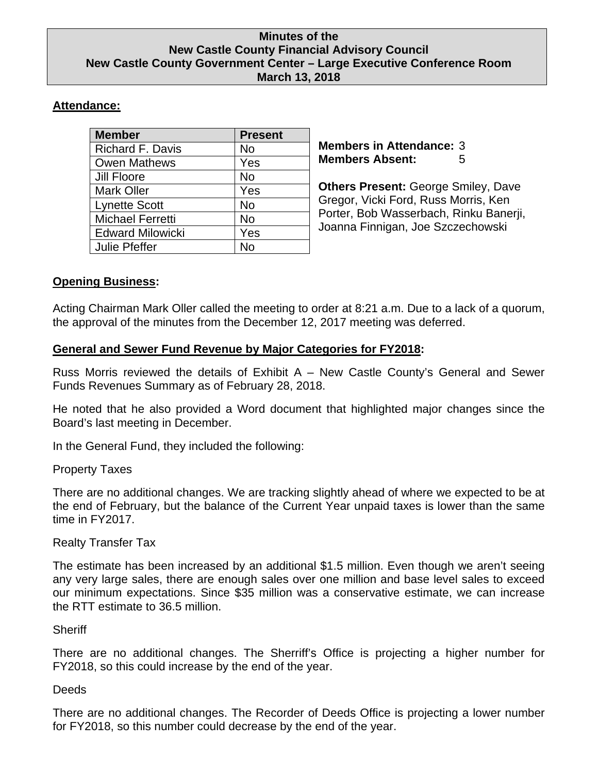### **Minutes of the New Castle County Financial Advisory Council New Castle County Government Center – Large Executive Conference Room March 13, 2018**

# **Attendance:**

| <b>Member</b>           | <b>Present</b> |
|-------------------------|----------------|
| Richard F. Davis        | No             |
| <b>Owen Mathews</b>     | Yes            |
| Jill Floore             | No             |
| <b>Mark Oller</b>       | Yes            |
| <b>Lynette Scott</b>    | <b>No</b>      |
| <b>Michael Ferretti</b> | No             |
| <b>Edward Milowicki</b> | Yes            |
| <b>Julie Pfeffer</b>    | N٥             |

**Members in Attendance:** 3 **Members Absent:** 5

**Others Present:** George Smiley, Dave Gregor, Vicki Ford, Russ Morris, Ken Porter, Bob Wasserbach, Rinku Banerji, Joanna Finnigan, Joe Szczechowski

# **Opening Business:**

Acting Chairman Mark Oller called the meeting to order at 8:21 a.m. Due to a lack of a quorum, the approval of the minutes from the December 12, 2017 meeting was deferred.

## **General and Sewer Fund Revenue by Major Categories for FY2018:**

Russ Morris reviewed the details of Exhibit A – New Castle County's General and Sewer Funds Revenues Summary as of February 28, 2018.

He noted that he also provided a Word document that highlighted major changes since the Board's last meeting in December.

In the General Fund, they included the following:

## Property Taxes

There are no additional changes. We are tracking slightly ahead of where we expected to be at the end of February, but the balance of the Current Year unpaid taxes is lower than the same time in FY2017.

## Realty Transfer Tax

The estimate has been increased by an additional \$1.5 million. Even though we aren't seeing any very large sales, there are enough sales over one million and base level sales to exceed our minimum expectations. Since \$35 million was a conservative estimate, we can increase the RTT estimate to 36.5 million.

## **Sheriff**

There are no additional changes. The Sherriff's Office is projecting a higher number for FY2018, so this could increase by the end of the year.

### **Deeds**

There are no additional changes. The Recorder of Deeds Office is projecting a lower number for FY2018, so this number could decrease by the end of the year.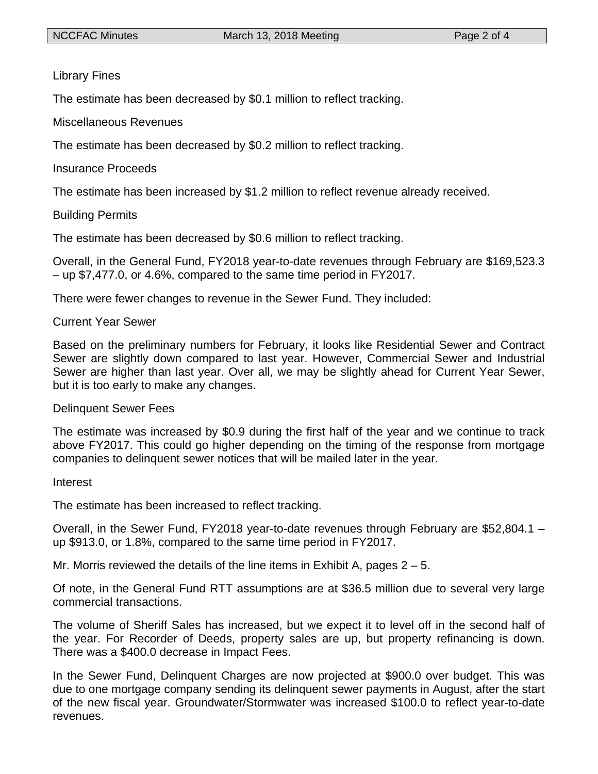### Library Fines

The estimate has been decreased by \$0.1 million to reflect tracking.

Miscellaneous Revenues

The estimate has been decreased by \$0.2 million to reflect tracking.

#### Insurance Proceeds

The estimate has been increased by \$1.2 million to reflect revenue already received.

### Building Permits

The estimate has been decreased by \$0.6 million to reflect tracking.

Overall, in the General Fund, FY2018 year-to-date revenues through February are \$169,523.3 – up \$7,477.0, or 4.6%, compared to the same time period in FY2017.

There were fewer changes to revenue in the Sewer Fund. They included:

#### Current Year Sewer

Based on the preliminary numbers for February, it looks like Residential Sewer and Contract Sewer are slightly down compared to last year. However, Commercial Sewer and Industrial Sewer are higher than last year. Over all, we may be slightly ahead for Current Year Sewer, but it is too early to make any changes.

#### Delinquent Sewer Fees

The estimate was increased by \$0.9 during the first half of the year and we continue to track above FY2017. This could go higher depending on the timing of the response from mortgage companies to delinquent sewer notices that will be mailed later in the year.

#### Interest

The estimate has been increased to reflect tracking.

Overall, in the Sewer Fund, FY2018 year-to-date revenues through February are \$52,804.1 – up \$913.0, or 1.8%, compared to the same time period in FY2017.

Mr. Morris reviewed the details of the line items in Exhibit A, pages  $2 - 5$ .

Of note, in the General Fund RTT assumptions are at \$36.5 million due to several very large commercial transactions.

The volume of Sheriff Sales has increased, but we expect it to level off in the second half of the year. For Recorder of Deeds, property sales are up, but property refinancing is down. There was a \$400.0 decrease in Impact Fees.

In the Sewer Fund, Delinquent Charges are now projected at \$900.0 over budget. This was due to one mortgage company sending its delinquent sewer payments in August, after the start of the new fiscal year. Groundwater/Stormwater was increased \$100.0 to reflect year-to-date revenues.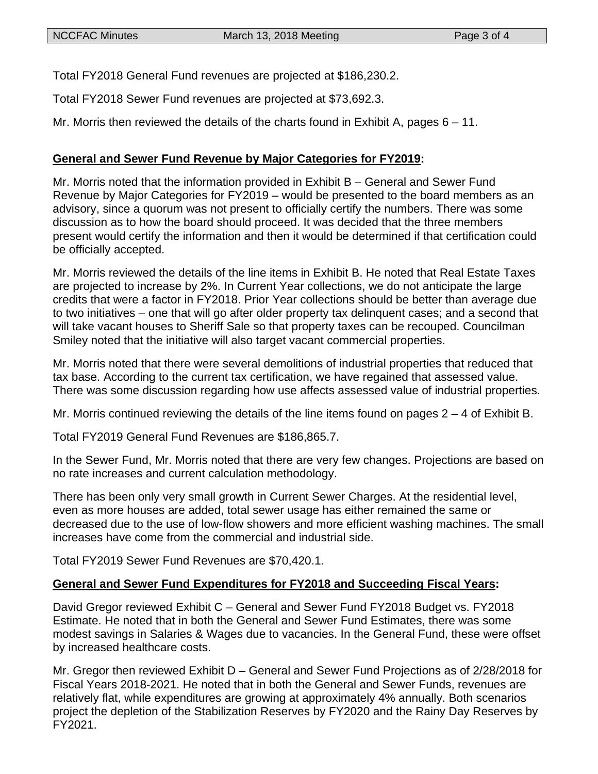Total FY2018 General Fund revenues are projected at \$186,230.2.

Total FY2018 Sewer Fund revenues are projected at \$73,692.3.

Mr. Morris then reviewed the details of the charts found in Exhibit A, pages  $6 - 11$ .

## **General and Sewer Fund Revenue by Major Categories for FY2019:**

Mr. Morris noted that the information provided in Exhibit B – General and Sewer Fund Revenue by Major Categories for FY2019 – would be presented to the board members as an advisory, since a quorum was not present to officially certify the numbers. There was some discussion as to how the board should proceed. It was decided that the three members present would certify the information and then it would be determined if that certification could be officially accepted.

Mr. Morris reviewed the details of the line items in Exhibit B. He noted that Real Estate Taxes are projected to increase by 2%. In Current Year collections, we do not anticipate the large credits that were a factor in FY2018. Prior Year collections should be better than average due to two initiatives – one that will go after older property tax delinquent cases; and a second that will take vacant houses to Sheriff Sale so that property taxes can be recouped. Councilman Smiley noted that the initiative will also target vacant commercial properties.

Mr. Morris noted that there were several demolitions of industrial properties that reduced that tax base. According to the current tax certification, we have regained that assessed value. There was some discussion regarding how use affects assessed value of industrial properties.

Mr. Morris continued reviewing the details of the line items found on pages 2 – 4 of Exhibit B.

Total FY2019 General Fund Revenues are \$186,865.7.

In the Sewer Fund, Mr. Morris noted that there are very few changes. Projections are based on no rate increases and current calculation methodology.

There has been only very small growth in Current Sewer Charges. At the residential level, even as more houses are added, total sewer usage has either remained the same or decreased due to the use of low-flow showers and more efficient washing machines. The small increases have come from the commercial and industrial side.

Total FY2019 Sewer Fund Revenues are \$70,420.1.

### **General and Sewer Fund Expenditures for FY2018 and Succeeding Fiscal Years:**

David Gregor reviewed Exhibit C – General and Sewer Fund FY2018 Budget vs. FY2018 Estimate. He noted that in both the General and Sewer Fund Estimates, there was some modest savings in Salaries & Wages due to vacancies. In the General Fund, these were offset by increased healthcare costs.

Mr. Gregor then reviewed Exhibit D – General and Sewer Fund Projections as of 2/28/2018 for Fiscal Years 2018-2021. He noted that in both the General and Sewer Funds, revenues are relatively flat, while expenditures are growing at approximately 4% annually. Both scenarios project the depletion of the Stabilization Reserves by FY2020 and the Rainy Day Reserves by FY2021.